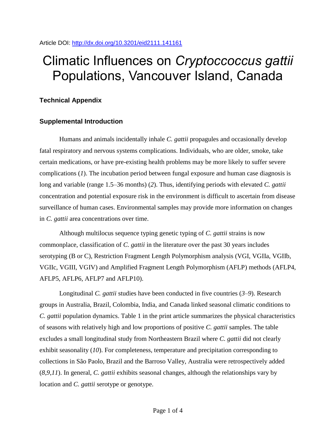Article DOI:<http://dx.doi.org/10.3201/eid2111.141161>

# Climatic Influences on *Cryptoccoccus gattii* Populations, Vancouver Island, Canada

## **Technical Appendix**

### **Supplemental Introduction**

Humans and animals incidentally inhale *C. gattii* propagules and occasionally develop fatal respiratory and nervous systems complications. Individuals, who are older, smoke, take certain medications, or have pre-existing health problems may be more likely to suffer severe complications (*1*). The incubation period between fungal exposure and human case diagnosis is long and variable (range 1.5–36 months) (*2*). Thus, identifying periods with elevated *C. gattii* concentration and potential exposure risk in the environment is difficult to ascertain from disease surveillance of human cases. Environmental samples may provide more information on changes in *C. gattii* area concentrations over time.

Although multilocus sequence typing genetic typing of *C. gattii* strains is now commonplace, classification of *C. gattii* in the literature over the past 30 years includes serotyping (B or C), Restriction Fragment Length Polymorphism analysis (VGI, VGIIa, VGIIb, VGIIc, VGIII, VGIV) and Amplified Fragment Length Polymorphism (AFLP) methods (AFLP4, AFLP5, AFLP6, AFLP7 and AFLP10).

Longitudinal *C. gattii* studies have been conducted in five countries (*3*–*9*). Research groups in Australia, Brazil, Colombia, India, and Canada linked seasonal climatic conditions to *C. gattii* population dynamics. Table 1 in the print article summarizes the physical characteristics of seasons with relatively high and low proportions of positive *C. gattii* samples. The table excludes a small longitudinal study from Northeastern Brazil where *C. gattii* did not clearly exhibit seasonality (*10*). For completeness, temperature and precipitation corresponding to collections in São Paolo, Brazil and the Barroso Valley, Australia were retrospectively added (*8*,*9*,*11*). In general, *C. gattii* exhibits seasonal changes, although the relationships vary by location and *C. gattii* serotype or genotype.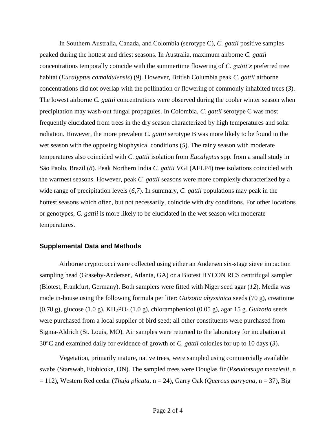In Southern Australia, Canada, and Colombia (serotype C), *C. gattii* positive samples peaked during the hottest and driest seasons. In Australia, maximum airborne *C. gattii* concentrations temporally coincide with the summertime flowering of *C. gattii's* preferred tree habitat (*Eucalyptus camaldulensis*) (*9*). However, British Columbia peak *C. gattii* airborne concentrations did not overlap with the pollination or flowering of commonly inhabited trees (*3*). The lowest airborne *C. gattii* concentrations were observed during the cooler winter season when precipitation may wash-out fungal propagules. In Colombia, *C. gattii* serotype C was most frequently elucidated from trees in the dry season characterized by high temperatures and solar radiation. However, the more prevalent *C. gattii* serotype B was more likely to be found in the wet season with the opposing biophysical conditions (*5*). The rainy season with moderate temperatures also coincided with *C. gattii* isolation from *Eucalyptus* spp. from a small study in São Paolo, Brazil (*8*). Peak Northern India *C. gattii* VGI (AFLP4) tree isolations coincided with the warmest seasons. However, peak *C. gattii* seasons were more complexly characterized by a wide range of precipitation levels (*6*,*7*). In summary, *C. gattii* populations may peak in the hottest seasons which often, but not necessarily, coincide with dry conditions. For other locations or genotypes, *C. gattii* is more likely to be elucidated in the wet season with moderate temperatures.

#### **Supplemental Data and Methods**

Airborne cryptococci were collected using either an Andersen six-stage sieve impaction sampling head (Graseby-Andersen, Atlanta, GA) or a Biotest HYCON RCS centrifugal sampler (Biotest, Frankfurt, Germany). Both samplers were fitted with Niger seed agar (*12*). Media was made in-house using the following formula per liter: *Guizotia abyssinica* seeds (70 g), creatinine (0.78 g), glucose (1.0 g), KH2PO<sup>4</sup> (1.0 g), chloramphenicol (0.05 g), agar 15 g. *Guizotia* seeds were purchased from a local supplier of bird seed; all other constituents were purchased from Sigma-Aldrich (St. Louis, MO). Air samples were returned to the laboratory for incubation at 30°C and examined daily for evidence of growth of *C. gattii* colonies for up to 10 days (*3*).

Vegetation, primarily mature, native trees, were sampled using commercially available swabs (Starswab, Etobicoke, ON). The sampled trees were Douglas fir (*Pseudotsuga menziesii*, n = 112), Western Red cedar (*Thuja plicata*, n = 24), Garry Oak (*Quercus garryana*, n = 37), Big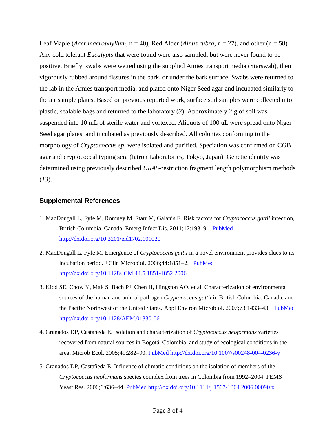Leaf Maple (*Acer macrophyllum*,  $n = 40$ ), Red Alder (*Alnus rubra*,  $n = 27$ ), and other ( $n = 58$ ). Any cold tolerant *Eucalypts* that were found were also sampled, but were never found to be positive. Briefly, swabs were wetted using the supplied Amies transport media (Starswab), then vigorously rubbed around fissures in the bark, or under the bark surface. Swabs were returned to the lab in the Amies transport media, and plated onto Niger Seed agar and incubated similarly to the air sample plates. Based on previous reported work, surface soil samples were collected into plastic, sealable bags and returned to the laboratory (*3*). Approximately 2 g of soil was suspended into 10 mL of sterile water and vortexed. Aliquots of 100 uL were spread onto Niger Seed agar plates, and incubated as previously described. All colonies conforming to the morphology of *Cryptococcus sp.* were isolated and purified. Speciation was confirmed on CGB agar and cryptococcal typing sera (Iatron Laboratories, Tokyo, Japan). Genetic identity was determined using previously described *URA5*-restriction fragment length polymorphism methods (*13*).

#### **Supplemental References**

- 1. MacDougall L, Fyfe M, Romney M, Starr M, Galanis E. Risk factors for *Cryptococcus gattii* infection, British Columbia, Canada. Emerg Infect Dis. 2011;17:193-9. [PubMed](file:///C:/Users/Pls5/Desktop/PLS5/My%20Documents/EID/2015/Nov15/14-1161/PubMed) <http://dx.doi.org/10.3201/eid1702.101020>
- 2. MacDougall L, Fyfe M. Emergence of *Cryptococcus gattii* in a novel environment provides clues to its incubation period. J Clin Microbiol. 2006;44:1851–2. [PubMed](http://www.ncbi.nlm.nih.gov/entrez/query.fcgi?cmd=Retrieve&db=PubMed&list_uids=16672420&dopt=Abstract) <http://dx.doi.org/10.1128/JCM.44.5.1851-1852.2006>
- 3. Kidd SE, Chow Y, Mak S, Bach PJ, Chen H, Hingston AO, et al. Characterization of environmental sources of the human and animal pathogen *Cryptococcus gattii* in British Columbia, Canada, and the Pacific Northwest of the United States. Appl Environ Microbiol. 2007;73:1433–43. [PubMed](http://www.ncbi.nlm.nih.gov/entrez/query.fcgi?cmd=Retrieve&db=PubMed&list_uids=17194837&dopt=Abstract) <http://dx.doi.org/10.1128/AEM.01330-06>
- 4. Granados DP, Castañeda E. Isolation and characterization of *Cryptococcus neoformans* varieties recovered from natural sources in Bogotá, Colombia, and study of ecological conditions in the area. Microb Ecol. 2005;49:282–90. [PubMed](http://www.ncbi.nlm.nih.gov/entrez/query.fcgi?cmd=Retrieve&db=PubMed&list_uids=15965721&dopt=Abstract) <http://dx.doi.org/10.1007/s00248-004-0236-y>
- 5. Granados DP, Castañeda E. Influence of climatic conditions on the isolation of members of the *Cryptococcus neoformans* species complex from trees in Colombia from 1992–2004. FEMS Yeast Res. 2006;6:636–44. [PubMed](http://www.ncbi.nlm.nih.gov/entrez/query.fcgi?cmd=Retrieve&db=PubMed&list_uids=16696660&dopt=Abstract) <http://dx.doi.org/10.1111/j.1567-1364.2006.00090.x>